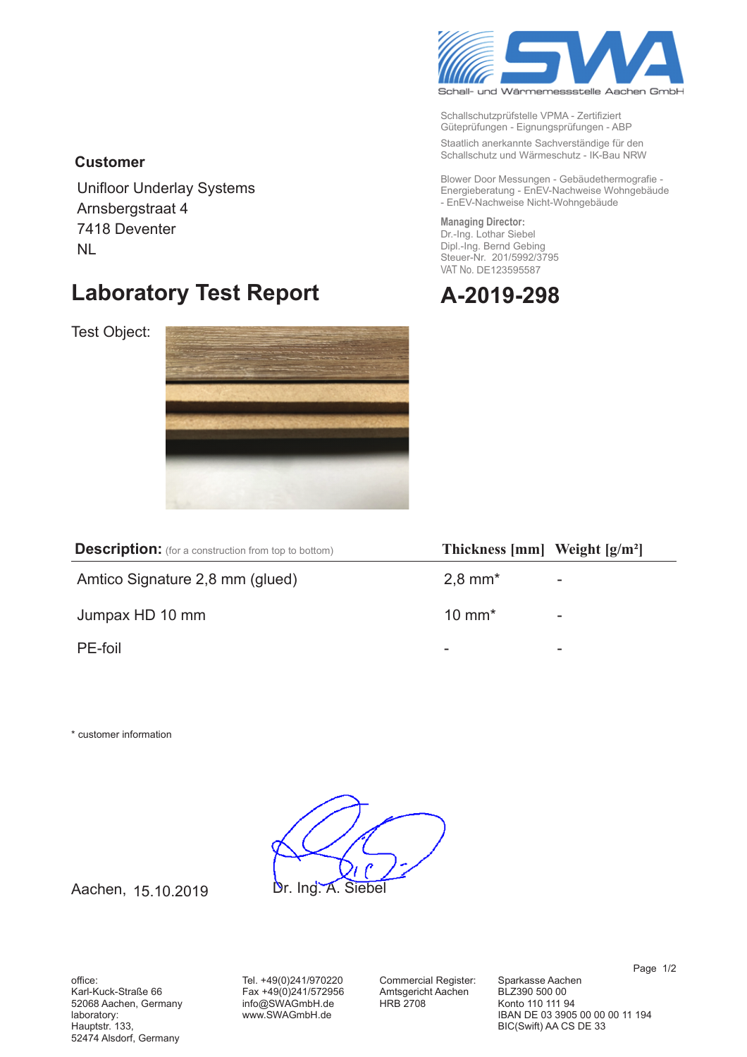

Schallschutzprüfstelle VPMA - Zertifiziert Güteprüfungen - Eignungsprüfungen - ABP

Staatlich anerkannte Sachverständige für den Schallschutz und Wärmeschutz - IK-Bau NRW

Blower Door Messungen - Gebäudethermografie -Energieberatung - EnEV-Nachweise Wohngebäude - EnEV-Nachweise Nicht-Wohngebäude

### **Managing Director:**

Dr.-Ing. Lothar Siebel Dipl.-Ing. Bernd Gebing Steuer-Nr. 201/5992/3795 VAT No. DE123595587



### **Customer**

Unifloor Underlay Systems Arnsbergstraat 4 7418 Deventer NL

## Laboratory Test Report **A-2**

Test Object:



| <b>Description:</b> (for a construction from top to bottom) | Thickness ${\rm [mm]}$ Weight ${\rm [g/m^2]}$ |   |
|-------------------------------------------------------------|-----------------------------------------------|---|
| Amtico Signature 2,8 mm (glued)                             | $2,8$ mm <sup>*</sup>                         | - |
| Jumpax HD 10 mm                                             | $10 \text{ mm}^*$                             | ۰ |
| PE-foil                                                     | -                                             | - |

\* customer information

Dr. Ing. A. Siebel

Aachen,

office: Karl-Kuck-Straße 66 52068 Aachen, Germany laboratory: Hauptstr. 133, 52474 Alsdorf, Germany

Tel. +49(0)241/970220 Fax +49(0)241/572956 info@SWAGmbH.de www.SWAGmbH.de

Commercial Register: Amtsgericht Aachen HRB 2708

Sparkasse Aachen BLZ390 500 00 Konto 110 111 94 IBAN DE 03 3905 00 00 00 11 194 BIC(Swift) AA CS DE 33

Page 1/2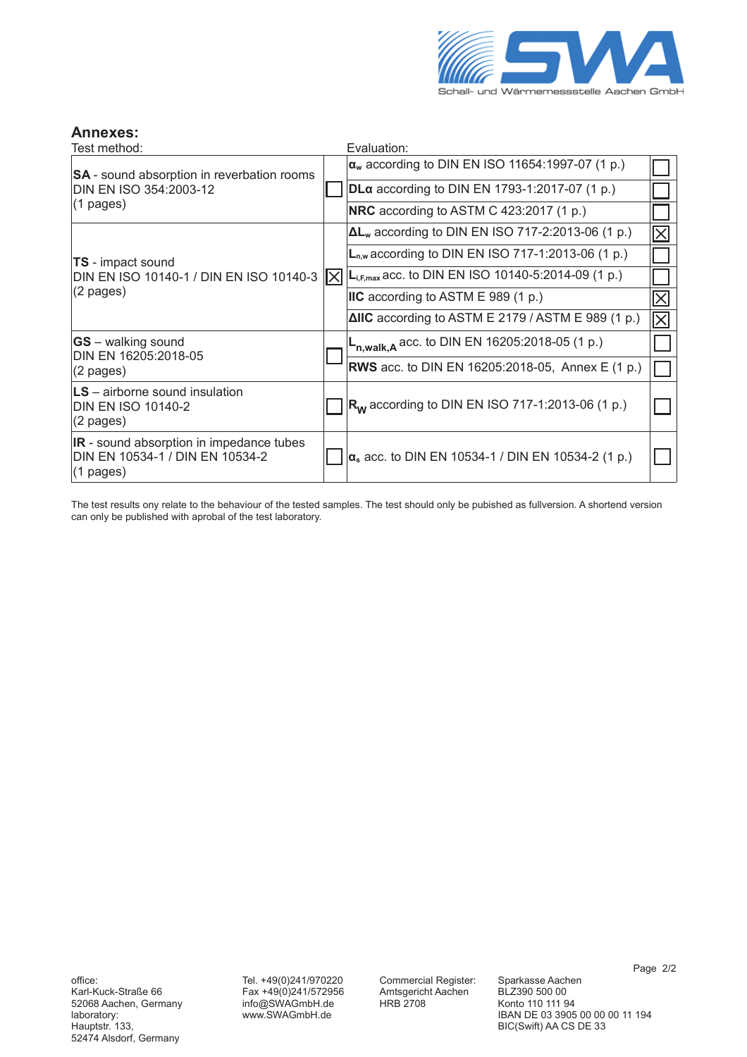

### Annexes:

| Test method:                                                                                              |      | Evaluation:                                                  |    |
|-----------------------------------------------------------------------------------------------------------|------|--------------------------------------------------------------|----|
| <b>SA</b> - sound absorption in reverbation rooms<br>DIN EN ISO 354:2003-12<br>$(1 \text{ pages})$        |      | $\alpha_w$ according to DIN EN ISO 11654:1997-07 (1 p.)      |    |
|                                                                                                           |      | <b>DLα</b> according to DIN EN 1793-1:2017-07 (1 p.)         |    |
|                                                                                                           |      | <b>NRC</b> according to ASTM C 423:2017 (1 p.)               |    |
| <b>TS</b> - impact sound<br>DIN EN ISO 10140-1 / DIN EN ISO 10140-3<br>$(2$ pages)                        | IXII | $\Delta L_w$ according to DIN EN ISO 717-2:2013-06 (1 p.)    |    |
|                                                                                                           |      | $L_{n,w}$ according to DIN EN ISO 717-1:2013-06 (1 p.)       |    |
|                                                                                                           |      | $L_{i,F,max}$ acc. to DIN EN ISO 10140-5:2014-09 (1 p.)      |    |
|                                                                                                           |      | IIC according to ASTM E 989 (1 p.)                           |    |
|                                                                                                           |      | $\triangle$ IIC according to ASTM E 2179 / ASTM E 989 (1 p.) | IХ |
| $ GS -$ walking sound<br>DIN EN 16205:2018-05                                                             |      | $L_{n, walk, A}$ acc. to DIN EN 16205:2018-05 (1 p.)         |    |
| $(2 \text{ pages})$                                                                                       |      | <b>RWS</b> acc. to DIN EN 16205:2018-05, Annex E (1 p.)      |    |
| $LS -$ airborne sound insulation<br><b>DIN EN ISO 10140-2</b><br>$(2$ pages)                              |      | $R_W$ according to DIN EN ISO 717-1:2013-06 (1 p.)           |    |
| <b>IR</b> - sound absorption in impedance tubes<br>DIN EN 10534-1 / DIN EN 10534-2<br>$(1 \text{ pages})$ |      | $\alpha_s$ acc. to DIN EN 10534-1 / DIN EN 10534-2 (1 p.)    |    |

The test results ony relate to the behaviour of the tested samples. The test should only be pubished as fullversion. A shortend version can only be published with aprobal of the test laboratory.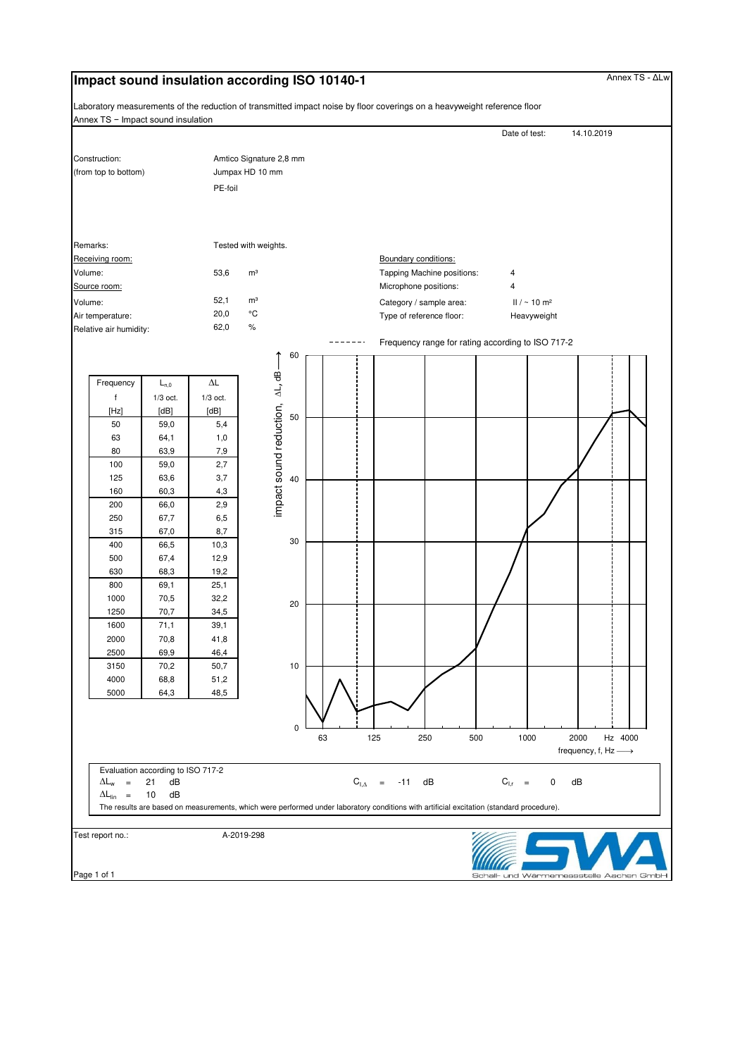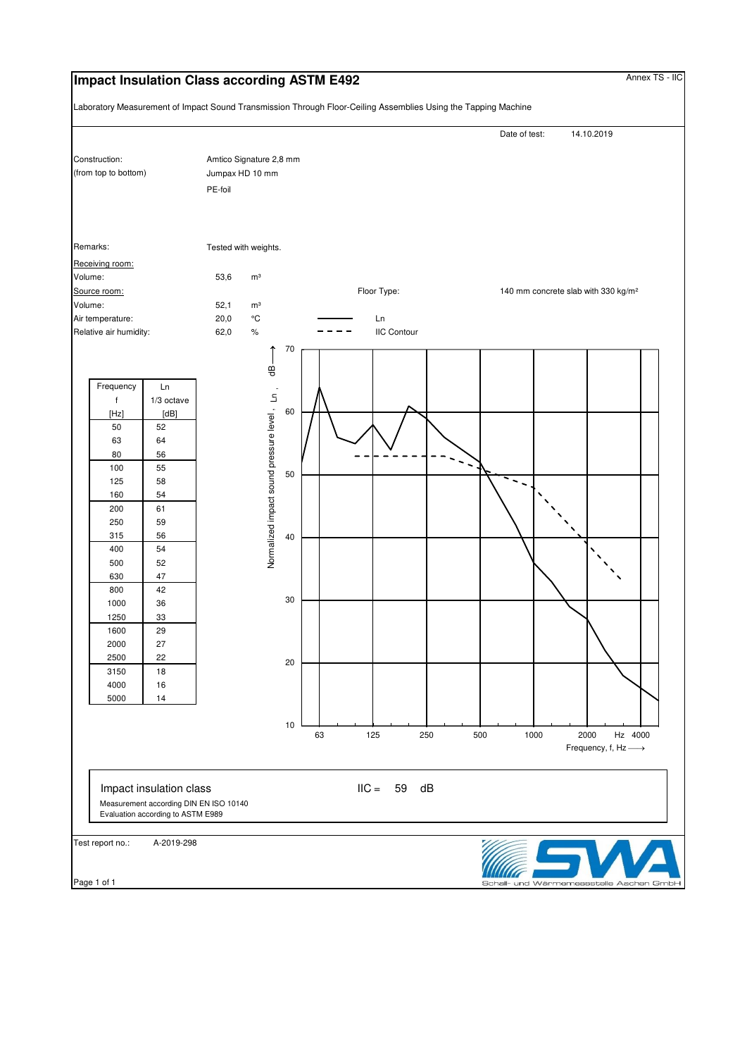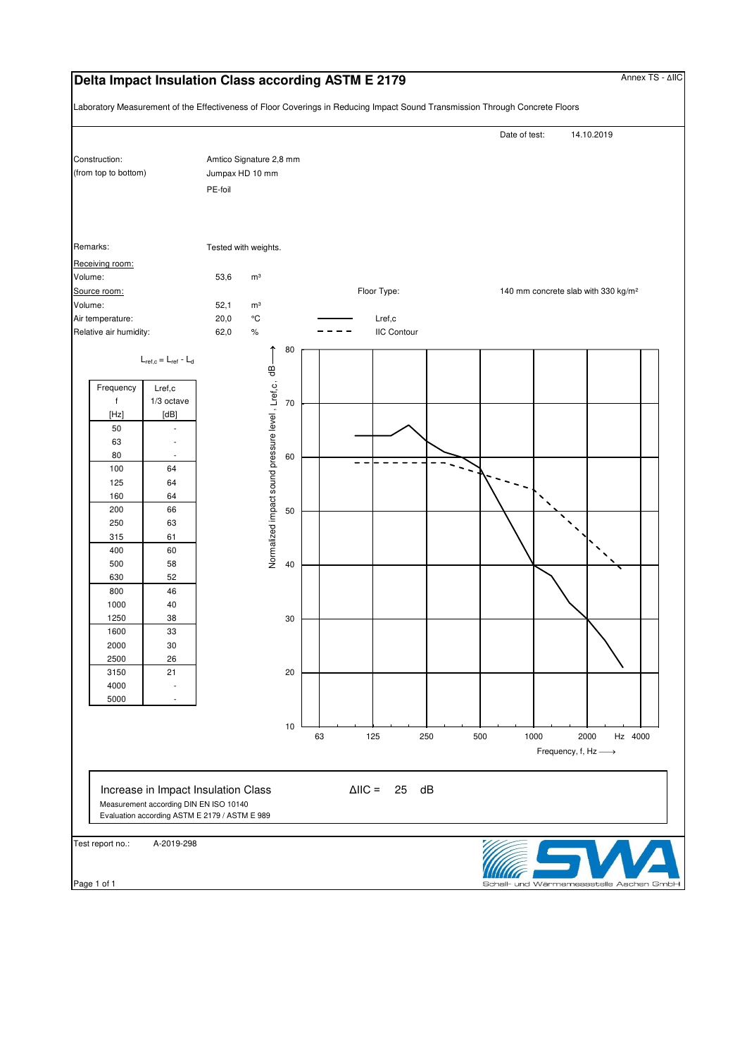### **Delta Impact Insulation Class according ASTM E 2179** Annex TS - ΔIIC

Laboratory Measurement of the Effectiveness of Floor Coverings in Reducing Impact Sound Transmission Through Concrete Floors

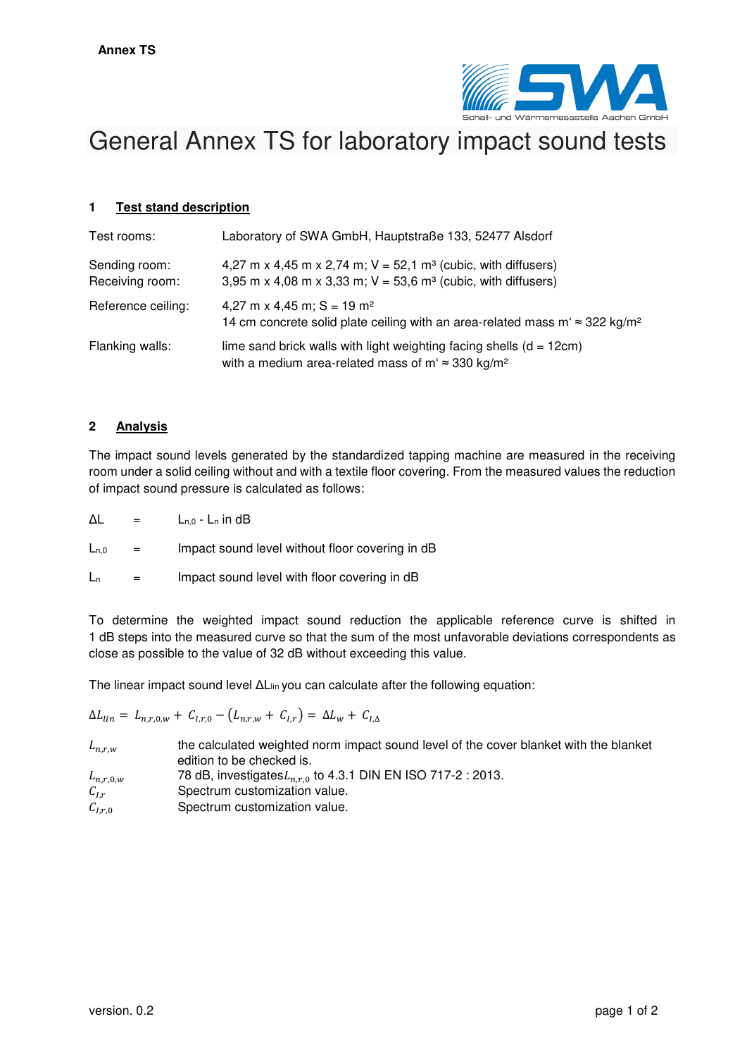

# General Annex TS for laboratory impact sound tests

### **1 Test stand description**

| Test rooms:                      | Laboratory of SWA GmbH, Hauptstraße 133, 52477 Alsdorf                                                                                                     |
|----------------------------------|------------------------------------------------------------------------------------------------------------------------------------------------------------|
| Sending room:<br>Receiving room: | 4,27 m x 4,45 m x 2,74 m; $V = 52,1$ m <sup>3</sup> (cubic, with diffusers)<br>3,95 m x 4,08 m x 3,33 m; $V = 53,6$ m <sup>3</sup> (cubic, with diffusers) |
| Reference ceiling:               | 4,27 m x 4,45 m; $S = 19$ m <sup>2</sup><br>14 cm concrete solid plate ceiling with an area-related mass m' $\approx$ 322 kg/m <sup>2</sup>                |
| Flanking walls:                  | lime sand brick walls with light weighting facing shells $(d = 12cm)$<br>with a medium area-related mass of m' $\approx$ 330 kg/m <sup>2</sup>             |

### **2 Analysis**

The impact sound levels generated by the standardized tapping machine are measured in the receiving room under a solid ceiling without and with a textile floor covering. From the measured values the reduction of impact sound pressure is calculated as follows:

 $\Delta L = L_{n,0} - L_n$  in dB

 $L_{n,0}$  = Impact sound level without floor covering in dB

 $L_n$  = Impact sound level with floor covering in dB

To determine the weighted impact sound reduction the applicable reference curve is shifted in 1 dB steps into the measured curve so that the sum of the most unfavorable deviations correspondents as close as possible to the value of 32 dB without exceeding this value.

The linear impact sound level ΔL<sub>lin</sub> you can calculate after the following equation:

 $\Delta L_{lin} = L_{n,r,0,w} + C_{l,r,0} - (L_{n,r,w} + C_{l,r}) = \Delta L_w + C_{l,\Delta}$ 

| $L_{n,r,w}$   | the calculated weighted norm impact sound level of the cover blanket with the blanket<br>edition to be checked is. |
|---------------|--------------------------------------------------------------------------------------------------------------------|
| $L_{n,r,0,w}$ | 78 dB, investigates $L_{n,r,0}$ to 4.3.1 DIN EN ISO 717-2 : 2013.                                                  |
| $C_{l,r}$     | Spectrum customization value.                                                                                      |
| $C_{I,r,0}$   | Spectrum customization value.                                                                                      |